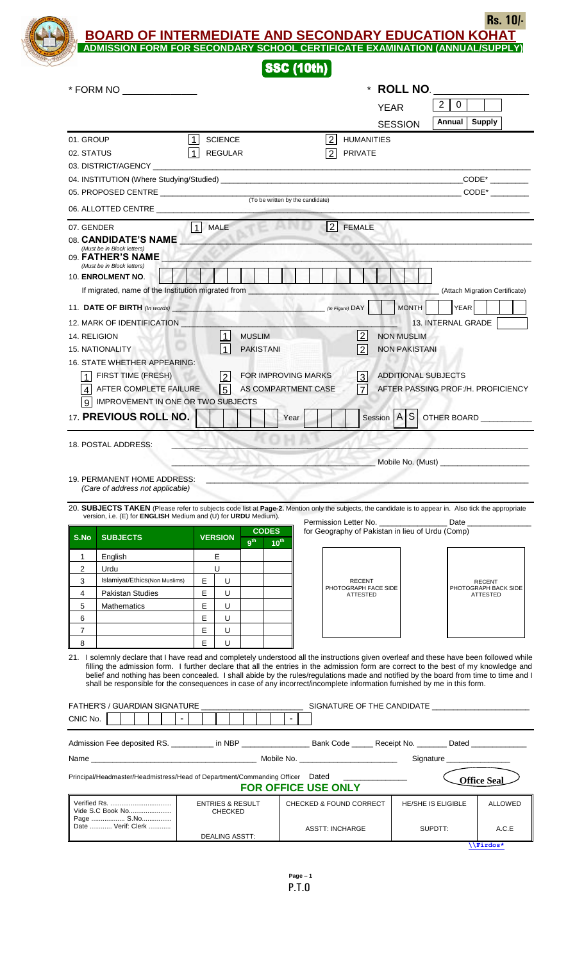**BOARD OF INTERMEDIATE AND SECONDARY EDUCATION KOHAT Rs. 10/-**

| Rs.                                                                         |
|-----------------------------------------------------------------------------|
| <b>BOARD OF INTERMEDIATE AND SECONDARY EDUCATION KOHAT</b>                  |
| ADMISSION FORM FOR SECONDARY SCHOOL CERTIFICATE EXAMINATION (ANNUAL/SUPPLY) |
| <b>SSC (10th)</b>                                                           |

## **SSC (10th)**

|                     | * FORM NO _______________                                                                                                                                                                                                                                       |                     |                                               |                                  |                |                        |                                                                                   | * ROLL NO.           |                            |                                       |
|---------------------|-----------------------------------------------------------------------------------------------------------------------------------------------------------------------------------------------------------------------------------------------------------------|---------------------|-----------------------------------------------|----------------------------------|----------------|------------------------|-----------------------------------------------------------------------------------|----------------------|----------------------------|---------------------------------------|
|                     |                                                                                                                                                                                                                                                                 |                     |                                               |                                  |                |                        | <b>YEAR</b>                                                                       |                      | 2<br>0                     |                                       |
|                     |                                                                                                                                                                                                                                                                 |                     |                                               |                                  |                |                        |                                                                                   | <b>SESSION</b>       | Annual                     | <b>Supply</b>                         |
| 01. GROUP           |                                                                                                                                                                                                                                                                 | $\vert$             | <b>SCIENCE</b>                                |                                  |                | 2 <sup>1</sup>         | <b>HUMANITIES</b>                                                                 |                      |                            |                                       |
| 02. STATUS          |                                                                                                                                                                                                                                                                 | $\vert$ 1           | <b>REGULAR</b>                                |                                  |                | 2                      | <b>PRIVATE</b>                                                                    |                      |                            |                                       |
|                     | 03. DISTRICT/AGENCY                                                                                                                                                                                                                                             |                     |                                               |                                  |                |                        |                                                                                   |                      |                            |                                       |
|                     | 04. INSTITUTION (Where Studying/Studied) Learner and the contract of the contract of the contract of the contract of the contract of the contract of the contract of the contract of the contract of the contract of the contr                                  |                     |                                               |                                  |                |                        |                                                                                   |                      |                            | $CODE*$                               |
|                     |                                                                                                                                                                                                                                                                 |                     |                                               | (To be written by the candidate) |                |                        |                                                                                   |                      |                            | $CODE*$                               |
|                     | 06. ALLOTTED CENTRE                                                                                                                                                                                                                                             |                     |                                               |                                  |                |                        |                                                                                   |                      |                            |                                       |
| 07. GENDER          |                                                                                                                                                                                                                                                                 | 1 MALE              |                                               |                                  |                |                        | 2 FEMALE                                                                          |                      |                            |                                       |
|                     | 08. CANDIDATE'S NAME<br>(Must be in Block letters)                                                                                                                                                                                                              |                     |                                               |                                  |                |                        |                                                                                   |                      |                            |                                       |
|                     | 09. FATHER'S NAME<br>(Must be in Block letters)                                                                                                                                                                                                                 |                     |                                               |                                  |                |                        |                                                                                   |                      |                            |                                       |
|                     | 10. ENROLMENT NO.                                                                                                                                                                                                                                               |                     |                                               |                                  |                |                        |                                                                                   |                      |                            |                                       |
|                     | If migrated, name of the Institution migrated from                                                                                                                                                                                                              |                     |                                               |                                  |                |                        |                                                                                   |                      |                            | (Attach Migration Certificate)        |
|                     | 11. DATE OF BIRTH (In words)                                                                                                                                                                                                                                    |                     |                                               |                                  | ANA Z          |                        | (In Figure) DAY                                                                   | MONTH                | <b>YEAR</b>                |                                       |
|                     | 12. MARK OF IDENTIFICATION                                                                                                                                                                                                                                      |                     |                                               |                                  |                |                        |                                                                                   |                      | 13. INTERNAL GRADE         |                                       |
| 14. RELIGION        |                                                                                                                                                                                                                                                                 |                     | 1                                             | <b>MUSLIM</b>                    |                |                        | $\vert$ 2                                                                         | <b>NON MUSLIM</b>    |                            |                                       |
|                     | <b>15. NATIONALITY</b>                                                                                                                                                                                                                                          |                     | $\overline{1}$                                | <b>PAKISTANI</b>                 |                |                        | $\overline{2}$                                                                    | <b>NON PAKISTANI</b> |                            |                                       |
|                     | 16. STATE WHETHER APPEARING:                                                                                                                                                                                                                                    |                     |                                               |                                  |                |                        |                                                                                   |                      |                            |                                       |
|                     | FIRST TIME (FRESH)                                                                                                                                                                                                                                              |                     | $\sqrt{2}$                                    | FOR IMPROVING MARKS              |                |                        | $\mathbf{3}$                                                                      |                      | <b>ADDITIONAL SUBJECTS</b> |                                       |
|                     | AFTER COMPLETE FAILURE                                                                                                                                                                                                                                          |                     | $\overline{5}$                                | AS COMPARTMENT CASE              |                |                        |                                                                                   |                      |                            | AFTER PASSING PROF:/H. PROFICIENCY    |
|                     | IMPROVEMENT IN ONE OR TWO SUBJECTS                                                                                                                                                                                                                              |                     |                                               |                                  |                |                        |                                                                                   |                      |                            |                                       |
|                     | 17. PREVIOUS ROLL NO.                                                                                                                                                                                                                                           |                     |                                               |                                  | Year           |                        |                                                                                   |                      |                            | Session   A   S   OTHER BOARD         |
|                     |                                                                                                                                                                                                                                                                 |                     |                                               |                                  |                |                        |                                                                                   |                      |                            |                                       |
|                     | 18. POSTAL ADDRESS:                                                                                                                                                                                                                                             |                     |                                               |                                  |                |                        |                                                                                   |                      |                            |                                       |
|                     |                                                                                                                                                                                                                                                                 |                     |                                               |                                  |                |                        |                                                                                   |                      |                            |                                       |
|                     |                                                                                                                                                                                                                                                                 |                     |                                               |                                  |                |                        |                                                                                   |                      |                            |                                       |
|                     | 19. PERMANENT HOME ADDRESS:                                                                                                                                                                                                                                     |                     |                                               |                                  |                |                        |                                                                                   |                      |                            |                                       |
|                     | (Care of address not applicable)                                                                                                                                                                                                                                |                     |                                               |                                  |                |                        |                                                                                   |                      |                            |                                       |
|                     | 20. SUBJECTS TAKEN (Please refer to subjects code list at Page-2. Mention only the subjects, the candidate is to appear in. Also tick the appropriate                                                                                                           |                     |                                               |                                  |                |                        |                                                                                   |                      |                            |                                       |
|                     | version, i.e. (E) for <b>ENGLISH</b> Medium and (U) for <b>URDU</b> Medium).                                                                                                                                                                                    |                     |                                               | <b>CODES</b>                     |                |                        | Permission Letter No. _______________________ Date ______________________________ |                      |                            |                                       |
| S.No                | <b>SUBJECTS</b>                                                                                                                                                                                                                                                 |                     | <b>VERSION</b>                                | 9 <sup>th</sup><br>$10^{th}$     |                |                        | for Geography of Pakistan in lieu of Urdu (Comp)                                  |                      |                            |                                       |
| 1                   | English                                                                                                                                                                                                                                                         |                     | Е                                             |                                  |                |                        |                                                                                   |                      |                            |                                       |
| $\overline{2}$      | Urdu                                                                                                                                                                                                                                                            |                     | U                                             |                                  |                |                        |                                                                                   |                      |                            |                                       |
| 3                   | Islamiyat/Ethics(Non Muslims)                                                                                                                                                                                                                                   | E                   | U                                             |                                  |                |                        | <b>RECENT</b><br>PHOTOGRAPH FACE SIDE                                             |                      |                            | <b>RECENT</b><br>PHOTOGRAPH BACK SIDE |
| 4                   | <b>Pakistan Studies</b>                                                                                                                                                                                                                                         | E                   | U                                             |                                  |                |                        | <b>ATTESTED</b>                                                                   |                      |                            | <b>ATTESTED</b>                       |
| 5                   | <b>Mathematics</b>                                                                                                                                                                                                                                              | Е<br>E              | U                                             |                                  |                |                        |                                                                                   |                      |                            |                                       |
| 6<br>$\overline{7}$ |                                                                                                                                                                                                                                                                 | E                   | U<br>U                                        |                                  |                |                        |                                                                                   |                      |                            |                                       |
| 8                   |                                                                                                                                                                                                                                                                 | E                   | U                                             |                                  |                |                        |                                                                                   |                      |                            |                                       |
|                     | 21. I solemnly declare that I have read and completely understood all the instructions given overleaf and these have been followed while                                                                                                                        |                     |                                               |                                  |                |                        |                                                                                   |                      |                            |                                       |
|                     | filling the admission form. I further declare that all the entries in the admission form are correct to the best of my knowledge and                                                                                                                            |                     |                                               |                                  |                |                        |                                                                                   |                      |                            |                                       |
|                     | belief and nothing has been concealed. I shall abide by the rules/regulations made and notified by the board from time to time and I<br>shall be responsible for the consequences in case of any incorrect/incomplete information furnished by me in this form. |                     |                                               |                                  |                |                        |                                                                                   |                      |                            |                                       |
|                     |                                                                                                                                                                                                                                                                 |                     |                                               |                                  |                |                        |                                                                                   |                      |                            |                                       |
|                     | FATHER'S / GUARDIAN SIGNATURE __________                                                                                                                                                                                                                        |                     |                                               |                                  |                |                        |                                                                                   |                      |                            |                                       |
| CNIC No.            |                                                                                                                                                                                                                                                                 | $\vert \cdot \vert$ |                                               |                                  | $\blacksquare$ |                        |                                                                                   |                      |                            |                                       |
|                     | Admission Fee deposited RS. ___________ in NBP __________________________________Receipt No. _________Dated _______________                                                                                                                                     |                     |                                               |                                  |                |                        |                                                                                   |                      |                            |                                       |
|                     |                                                                                                                                                                                                                                                                 |                     |                                               |                                  |                |                        |                                                                                   |                      | Signature                  |                                       |
|                     |                                                                                                                                                                                                                                                                 |                     |                                               |                                  |                |                        |                                                                                   |                      |                            |                                       |
|                     | Principal/Headmaster/Headmistress/Head of Department/Commanding Officer Dated                                                                                                                                                                                   |                     |                                               |                                  |                |                        |                                                                                   |                      |                            | <b>Office Seal</b>                    |
|                     |                                                                                                                                                                                                                                                                 |                     |                                               | <b>FOR OFFICE USE ONLY</b>       |                |                        |                                                                                   |                      |                            |                                       |
|                     | Vide S.C Book No                                                                                                                                                                                                                                                |                     | <b>ENTRIES &amp; RESULT</b><br><b>CHECKED</b> |                                  |                |                        | CHECKED & FOUND CORRECT                                                           |                      | HE/SHE IS ELIGIBLE         | <b>ALLOWED</b>                        |
|                     | Date  Verif: Clerk                                                                                                                                                                                                                                              |                     | <b>DEALING ASSTT:</b>                         |                                  |                | <b>ASSTT: INCHARGE</b> |                                                                                   |                      | SUPDTT:                    | A.C.E                                 |

**[\\Firdos\\*](file:\\Firdos*) .**